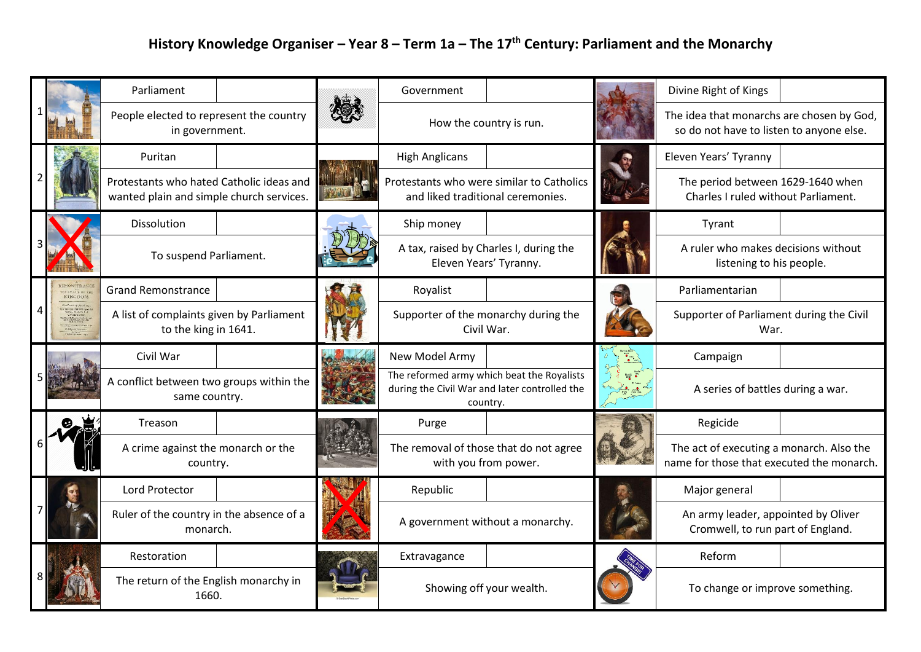## **History Knowledge Organiser – Year 8 – Term 1a – The 17th Century: Parliament and the Monarchy**

|                                                                                            | Parliament                                                                           |  | Government                                                                     |                                               | Divine Right of Kings                                                                 |  |
|--------------------------------------------------------------------------------------------|--------------------------------------------------------------------------------------|--|--------------------------------------------------------------------------------|-----------------------------------------------|---------------------------------------------------------------------------------------|--|
|                                                                                            | People elected to represent the country<br>in government.                            |  | How the country is run.                                                        |                                               | The idea that monarchs are chosen by God,<br>so do not have to listen to anyone else. |  |
|                                                                                            | Puritan                                                                              |  | <b>High Anglicans</b>                                                          |                                               | Eleven Years' Tyranny                                                                 |  |
|                                                                                            | Protestants who hated Catholic ideas and<br>wanted plain and simple church services. |  | Protestants who were similar to Catholics<br>and liked traditional ceremonies. |                                               | The period between 1629-1640 when<br>Charles I ruled without Parliament.              |  |
|                                                                                            | Dissolution                                                                          |  | Ship money                                                                     |                                               | Tyrant                                                                                |  |
|                                                                                            | To suspend Parliament.                                                               |  | Eleven Years' Tyranny.                                                         | A tax, raised by Charles I, during the        | A ruler who makes decisions without<br>listening to his people.                       |  |
| MONSTRANC<br><b>EXAMPLE AND STATE</b><br>ann dalla ann generation<br>gel la Speedman, 1975 | <b>Grand Remonstrance</b>                                                            |  | Royalist                                                                       |                                               | Parliamentarian                                                                       |  |
|                                                                                            | A list of complaints given by Parliament<br>to the king in 1641.                     |  | Supporter of the monarchy during the<br>Civil War.                             |                                               | Supporter of Parliament during the Civil<br>War.                                      |  |
|                                                                                            | Civil War                                                                            |  | New Model Army                                                                 |                                               | Campaign                                                                              |  |
|                                                                                            | A conflict between two groups within the<br>same country.                            |  | The reformed army which beat the Royalists<br>country.                         | during the Civil War and later controlled the | A series of battles during a war.                                                     |  |
|                                                                                            | Treason                                                                              |  | Purge                                                                          |                                               | Regicide                                                                              |  |
|                                                                                            | A crime against the monarch or the<br>country.                                       |  | The removal of those that do not agree<br>with you from power.                 |                                               | The act of executing a monarch. Also the<br>name for those that executed the monarch. |  |
|                                                                                            | Lord Protector                                                                       |  | Republic                                                                       |                                               | Major general                                                                         |  |
|                                                                                            | Ruler of the country in the absence of a<br>monarch.                                 |  | A government without a monarchy.                                               |                                               | An army leader, appointed by Oliver<br>Cromwell, to run part of England.              |  |
|                                                                                            | Restoration                                                                          |  | Extravagance                                                                   |                                               | Reform                                                                                |  |
|                                                                                            | The return of the English monarchy in<br>1660.                                       |  | Showing off your wealth.                                                       |                                               | To change or improve something.                                                       |  |